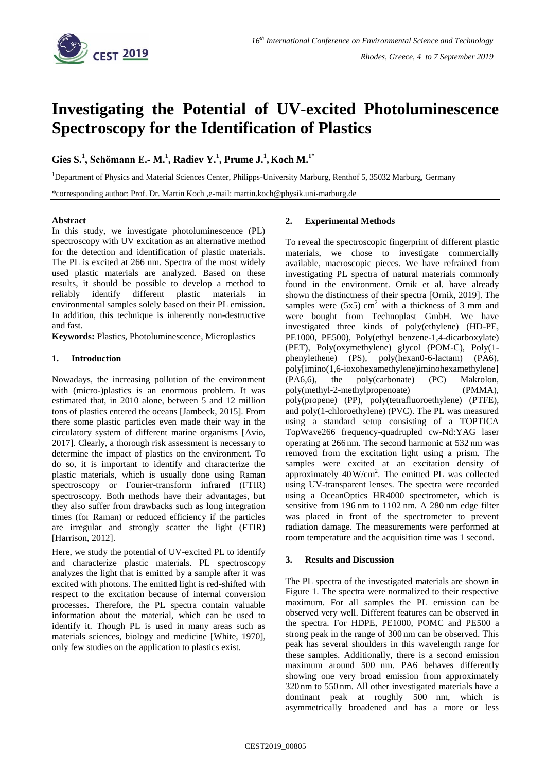

# **Investigating the Potential of UV-excited Photoluminescence Spectroscopy for the Identification of Plastics**

**Gies S. 1 , Schömann E.- M. 1 , Radiev Y.<sup>1</sup> , Prume J.<sup>1</sup> ,Koch M. 1\***

<sup>1</sup>Department of Physics and Material Sciences Center, Philipps-University Marburg, Renthof 5, 35032 Marburg, Germany

\*corresponding author: Prof. Dr. Martin Koch ,e-mail: martin.koch@physik.uni-marburg.de

## **Abstract**

In this study, we investigate photoluminescence (PL) spectroscopy with UV excitation as an alternative method for the detection and identification of plastic materials. The PL is excited at 266 nm. Spectra of the most widely used plastic materials are analyzed. Based on these results, it should be possible to develop a method to reliably identify different plastic materials in environmental samples solely based on their PL emission. In addition, this technique is inherently non-destructive and fast.

**Keywords:** Plastics, Photoluminescence, Microplastics

## **1. Introduction**

Nowadays, the increasing pollution of the environment with (micro-)plastics is an enormous problem. It was estimated that, in 2010 alone, between 5 and 12 million tons of plastics entered the oceans [Jambeck, 2015]. From there some plastic particles even made their way in the circulatory system of different marine organisms [Avio, 2017]. Clearly, a thorough risk assessment is necessary to determine the impact of plastics on the environment. To do so, it is important to identify and characterize the plastic materials, which is usually done using Raman spectroscopy or Fourier-transform infrared (FTIR) spectroscopy. Both methods have their advantages, but they also suffer from drawbacks such as long integration times (for Raman) or reduced efficiency if the particles are irregular and strongly scatter the light (FTIR) [Harrison, 2012].

Here, we study the potential of UV-excited PL to identify and characterize plastic materials. PL spectroscopy analyzes the light that is emitted by a sample after it was excited with photons. The emitted light is red-shifted with respect to the excitation because of internal conversion processes. Therefore, the PL spectra contain valuable information about the material, which can be used to identify it. Though PL is used in many areas such as materials sciences, biology and medicine [White, 1970], only few studies on the application to plastics exist.

## **2. Experimental Methods**

To reveal the spectroscopic fingerprint of different plastic materials, we chose to investigate commercially available, macroscopic pieces. We have refrained from investigating PL spectra of natural materials commonly found in the environment. Ornik et al. have already shown the distinctness of their spectra [Ornik, 2019]. The samples were  $(5x5)$  cm<sup>2</sup> with a thickness of 3 mm and were bought from Technoplast GmbH. We have investigated three kinds of poly(ethylene) (HD-PE, PE1000, PE500), Poly(ethyl benzene-1,4-dicarboxylate) (PET), Poly(oxymethylene) glycol (POM-C), Poly(1 phenylethene) (PS), poly(hexan0-6-lactam) (PA6), poly[imino(1,6-ioxohexamethylene)iminohexamethylene] (PA6,6), the poly(carbonate) (PC) Makrolon, poly(methyl-2-methylpropenoate) (PMMA), poly(propene) (PP), poly(tetrafluoroethylene) (PTFE), and poly(1-chloroethylene) (PVC). The PL was measured using a standard setup consisting of a TOPTICA TopWave266 frequency-quadrupled cw-Nd:YAG laser operating at 266 nm. The second harmonic at 532 nm was removed from the excitation light using a prism. The samples were excited at an excitation density of approximately  $40 \text{ W/cm}^2$ . The emitted PL was collected using UV-transparent lenses. The spectra were recorded using a OceanOptics HR4000 spectrometer, which is sensitive from 196 nm to 1102 nm. A 280 nm edge filter was placed in front of the spectrometer to prevent radiation damage. The measurements were performed at room temperature and the acquisition time was 1 second.

## **3. Results and Discussion**

The PL spectra of the investigated materials are shown in Figure 1. The spectra were normalized to their respective maximum. For all samples the PL emission can be observed very well. Different features can be observed in the spectra. For HDPE, PE1000, POMC and PE500 a strong peak in the range of 300 nm can be observed. This peak has several shoulders in this wavelength range for these samples. Additionally, there is a second emission maximum around 500 nm. PA6 behaves differently showing one very broad emission from approximately 320 nm to 550 nm. All other investigated materials have a dominant peak at roughly 500 nm, which is asymmetrically broadened and has a more or less